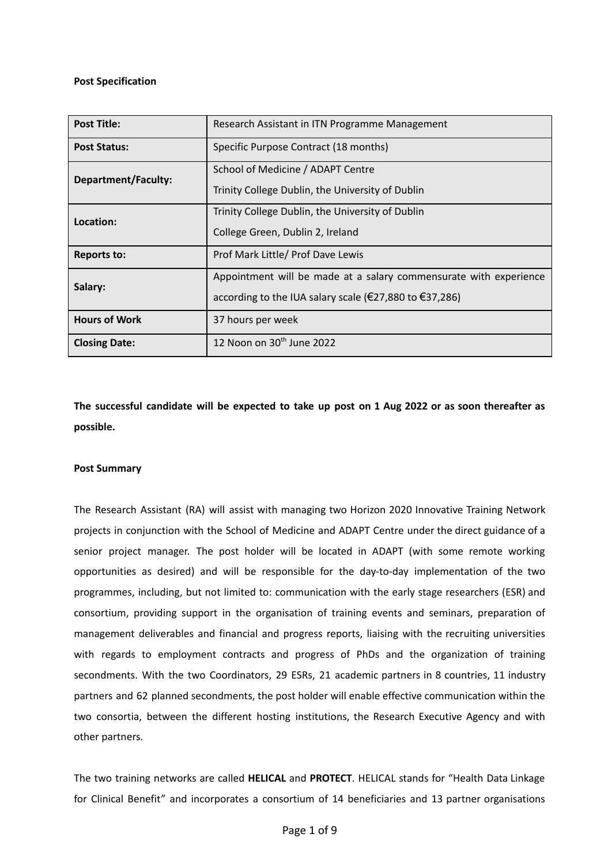#### **Post Specification**

| <b>Post Title:</b>         | Research Assistant in ITN Programme Management                                                                              |  |
|----------------------------|-----------------------------------------------------------------------------------------------------------------------------|--|
| <b>Post Status:</b>        | Specific Purpose Contract (18 months)                                                                                       |  |
| <b>Department/Faculty:</b> | School of Medicine / ADAPT Centre<br>Trinity College Dublin, the University of Dublin                                       |  |
| Location:                  | Trinity College Dublin, the University of Dublin<br>College Green, Dublin 2, Ireland                                        |  |
| <b>Reports to:</b>         | Prof Mark Little/ Prof Dave Lewis                                                                                           |  |
| Salary:                    | Appointment will be made at a salary commensurate with experience<br>according to the IUA salary scale (€27,880 to €37,286) |  |
| <b>Hours of Work</b>       | 37 hours per week                                                                                                           |  |
| <b>Closing Date:</b>       | 12 Noon on 30 <sup>th</sup> June 2022                                                                                       |  |

The successful candidate will be expected to take up post on 1 Aug 2022 or as soon thereafter as **possible.**

#### **Post Summary**

The Research Assistant (RA) will assist with managing two Horizon 2020 Innovative Training Network projects in conjunction with the School of Medicine and ADAPT Centre under the direct guidance of a senior project manager. The post holder will be located in ADAPT (with some remote working opportunities as desired) and will be responsible for the day-to-day implementation of the two programmes, including, but not limited to: communication with the early stage researchers (ESR) and consortium, providing support in the organisation of training events and seminars, preparation of management deliverables and financial and progress reports, liaising with the recruiting universities with regards to employment contracts and progress of PhDs and the organization of training secondments. With the two Coordinators, 29 ESRs, 21 academic partners in 8 countries, 11 industry partners and 62 planned secondments, the post holder will enable effective communication within the two consortia, between the different hosting institutions, the Research Executive Agency and with other partners.

The two training networks are called **HELICAL** and **PROTECT**. HELICAL stands for "Health Data Linkage for Clinical Benefit" and incorporates a consortium of 14 beneficiaries and 13 partner organisations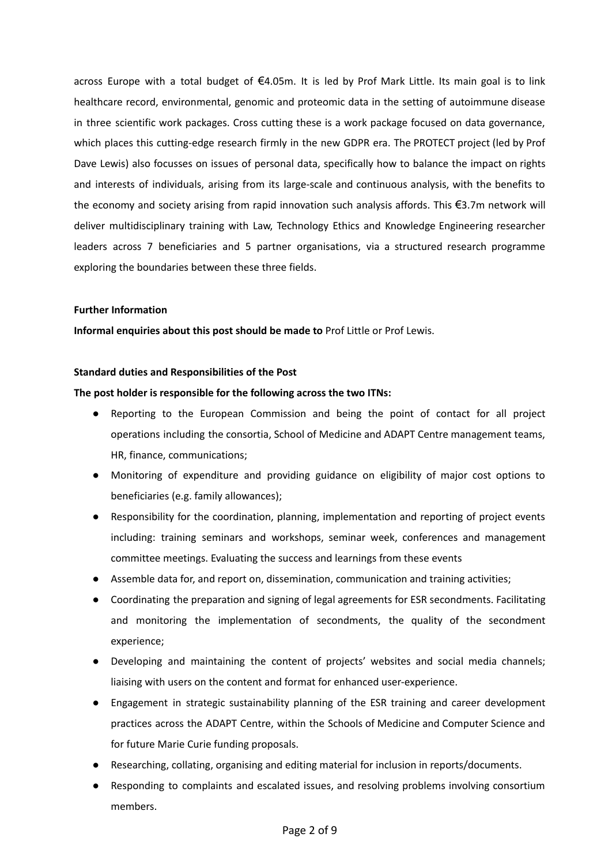across Europe with a total budget of €4.05m. It is led by Prof Mark Little. Its main goal is to link healthcare record, environmental, genomic and proteomic data in the setting of autoimmune disease in three scientific work packages. Cross cutting these is a work package focused on data governance, which places this cutting-edge research firmly in the new GDPR era. The PROTECT project (led by Prof Dave Lewis) also focusses on issues of personal data, specifically how to balance the impact on rights and interests of individuals, arising from its large-scale and continuous analysis, with the benefits to the economy and society arising from rapid innovation such analysis affords. This €3.7m network will deliver multidisciplinary training with Law, Technology Ethics and Knowledge Engineering researcher leaders across 7 beneficiaries and 5 partner organisations, via a structured research programme exploring the boundaries between these three fields.

#### **Further Information**

**Informal enquiries about this post should be made to** Prof Little or Prof Lewis.

#### **Standard duties and Responsibilities of the Post**

#### **The post holder is responsible for the following across the two ITNs:**

- Reporting to the European Commission and being the point of contact for all project operations including the consortia, School of Medicine and ADAPT Centre management teams, HR, finance, communications;
- Monitoring of expenditure and providing guidance on eligibility of major cost options to beneficiaries (e.g. family allowances);
- Responsibility for the coordination, planning, implementation and reporting of project events including: training seminars and workshops, seminar week, conferences and management committee meetings. Evaluating the success and learnings from these events
- Assemble data for, and report on, dissemination, communication and training activities;
- Coordinating the preparation and signing of legal agreements for ESR secondments. Facilitating and monitoring the implementation of secondments, the quality of the secondment experience;
- Developing and maintaining the content of projects' websites and social media channels; liaising with users on the content and format for enhanced user-experience.
- Engagement in strategic sustainability planning of the ESR training and career development practices across the ADAPT Centre, within the Schools of Medicine and Computer Science and for future Marie Curie funding proposals.
- Researching, collating, organising and editing material for inclusion in reports/documents.
- Responding to complaints and escalated issues, and resolving problems involving consortium members.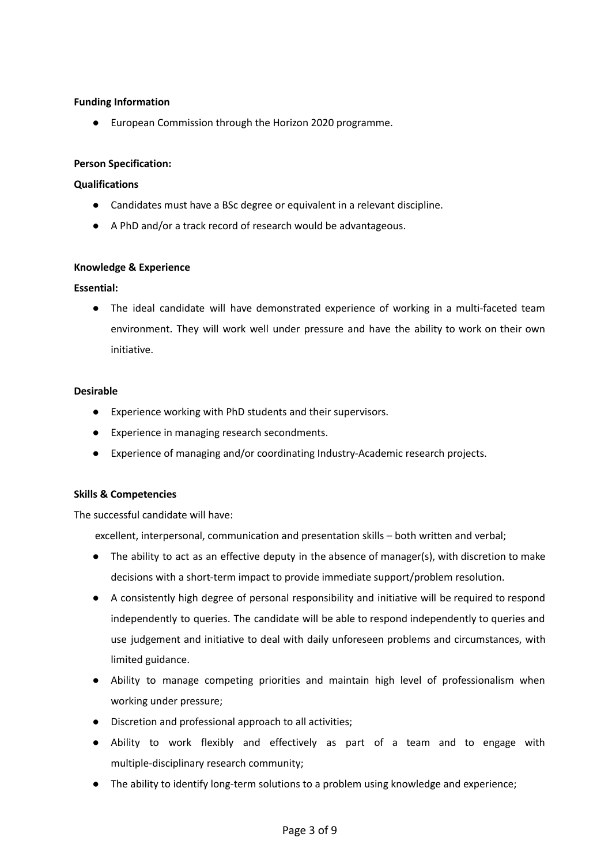# **Funding Information**

● European Commission through the Horizon 2020 programme.

# **Person Specification:**

# **Qualifications**

- Candidates must have a BSc degree or equivalent in a relevant discipline.
- A PhD and/or a track record of research would be advantageous.

# **Knowledge & Experience**

# **Essential:**

● The ideal candidate will have demonstrated experience of working in a multi-faceted team environment. They will work well under pressure and have the ability to work on their own initiative.

# **Desirable**

- Experience working with PhD students and their supervisors.
- Experience in managing research secondments.
- Experience of managing and/or coordinating Industry-Academic research projects.

# **Skills & Competencies**

The successful candidate will have:

excellent, interpersonal, communication and presentation skills – both written and verbal;

- The ability to act as an effective deputy in the absence of manager(s), with discretion to make decisions with a short-term impact to provide immediate support/problem resolution.
- A consistently high degree of personal responsibility and initiative will be required to respond independently to queries. The candidate will be able to respond independently to queries and use judgement and initiative to deal with daily unforeseen problems and circumstances, with limited guidance.
- Ability to manage competing priorities and maintain high level of professionalism when working under pressure;
- Discretion and professional approach to all activities;
- Ability to work flexibly and effectively as part of a team and to engage with multiple-disciplinary research community;
- The ability to identify long-term solutions to a problem using knowledge and experience;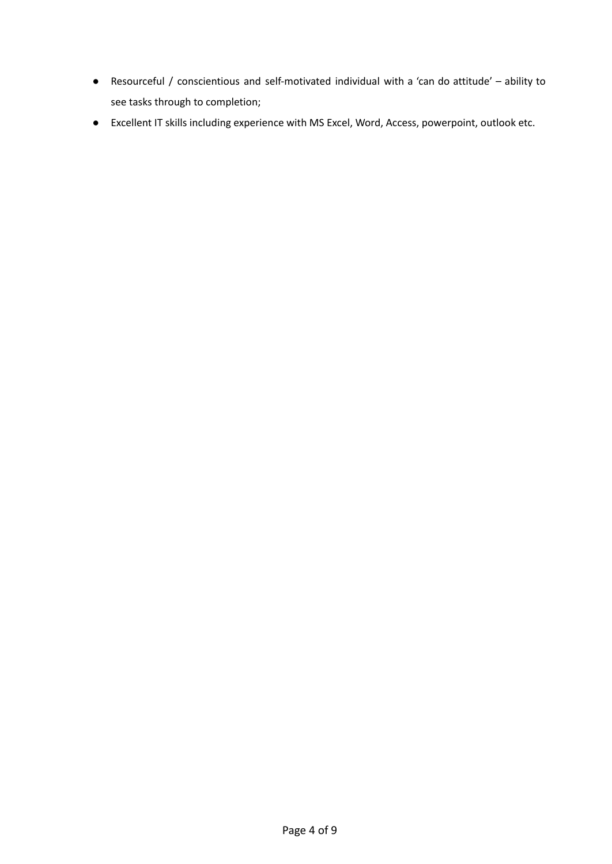- Resourceful / conscientious and self-motivated individual with a 'can do attitude' ability to see tasks through to completion;
- Excellent IT skills including experience with MS Excel, Word, Access, powerpoint, outlook etc.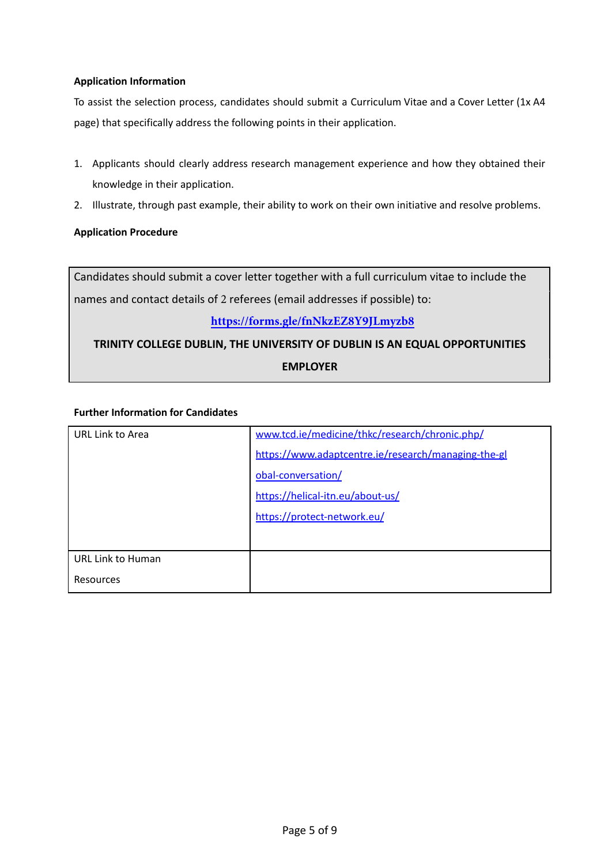# **Application Information**

To assist the selection process, candidates should submit a Curriculum Vitae and a Cover Letter (1x A4 page) that specifically address the following points in their application.

- 1. Applicants should clearly address research management experience and how they obtained their knowledge in their application.
- 2. Illustrate, through past example, their ability to work on their own initiative and resolve problems.

# **Application Procedure**

Candidates should submit a cover letter together with a full curriculum vitae to include the names and contact details of 2 referees (email addresses if possible) to:

# **https://forms.gle/fnNkzEZ8Y9JLmyzb8**

# **TRINITY COLLEGE DUBLIN, THE UNIVERSITY OF DUBLIN IS AN EQUAL OPPORTUNITIES EMPLOYER**

# **Further Information for Candidates**

| URL Link to Area         | www.tcd.ie/medicine/thkc/research/chronic.php/      |
|--------------------------|-----------------------------------------------------|
|                          | https://www.adaptcentre.ie/research/managing-the-gl |
|                          | obal-conversation/                                  |
|                          | https://helical-itn.eu/about-us/                    |
|                          | https://protect-network.eu/                         |
|                          |                                                     |
| <b>URL Link to Human</b> |                                                     |
| Resources                |                                                     |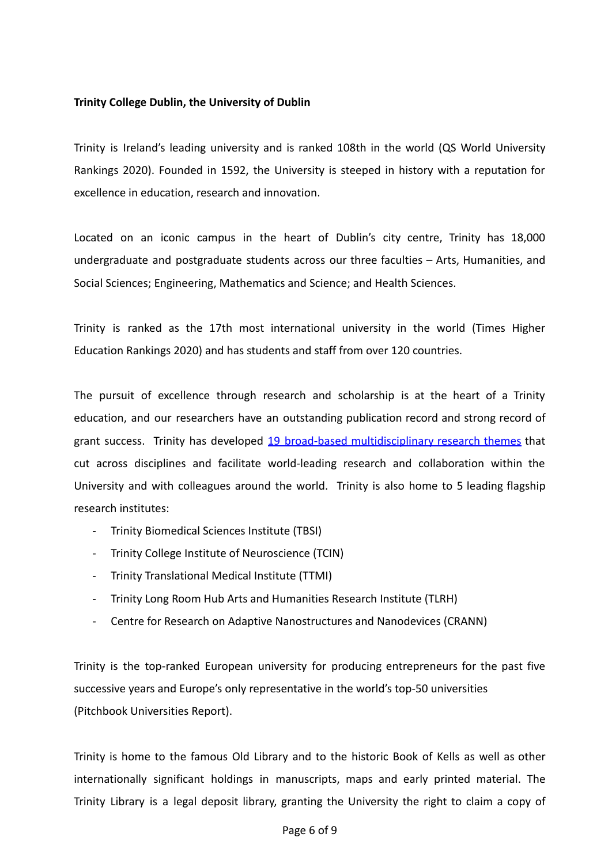# **Trinity College Dublin, the University of Dublin**

Trinity is Ireland's leading university and is ranked 108th in the world (QS World University Rankings 2020). Founded in 1592, the University is steeped in history with a reputation for excellence in education, research and innovation.

Located on an iconic campus in the heart of Dublin's city centre, Trinity has 18,000 undergraduate and postgraduate students across our three faculties – Arts, Humanities, and Social Sciences; Engineering, Mathematics and Science; and Health Sciences.

Trinity is ranked as the 17th most international university in the world (Times Higher Education Rankings 2020) and has students and staff from over 120 countries.

The pursuit of excellence through research and scholarship is at the heart of a Trinity education, and our researchers have an outstanding publication record and strong record of grant success. Trinity has developed 19 broad-based [multidisciplinary](https://www.tcd.ie/research/themes/) research themes that cut across disciplines and facilitate world-leading research and collaboration within the University and with colleagues around the world. Trinity is also home to 5 leading flagship research institutes:

- Trinity Biomedical Sciences Institute (TBSI)
- Trinity College Institute of Neuroscience (TCIN)
- Trinity Translational Medical Institute (TTMI)
- Trinity Long Room Hub Arts and Humanities Research Institute (TLRH)
- Centre for Research on Adaptive Nanostructures and Nanodevices (CRANN)

Trinity is the top-ranked European university for producing entrepreneurs for the past five successive years and Europe's only representative in the world's top-50 universities (Pitchbook Universities Report).

Trinity is home to the famous Old Library and to the historic Book of Kells as well as other internationally significant holdings in manuscripts, maps and early printed material. The Trinity Library is a legal deposit library, granting the University the right to claim a copy of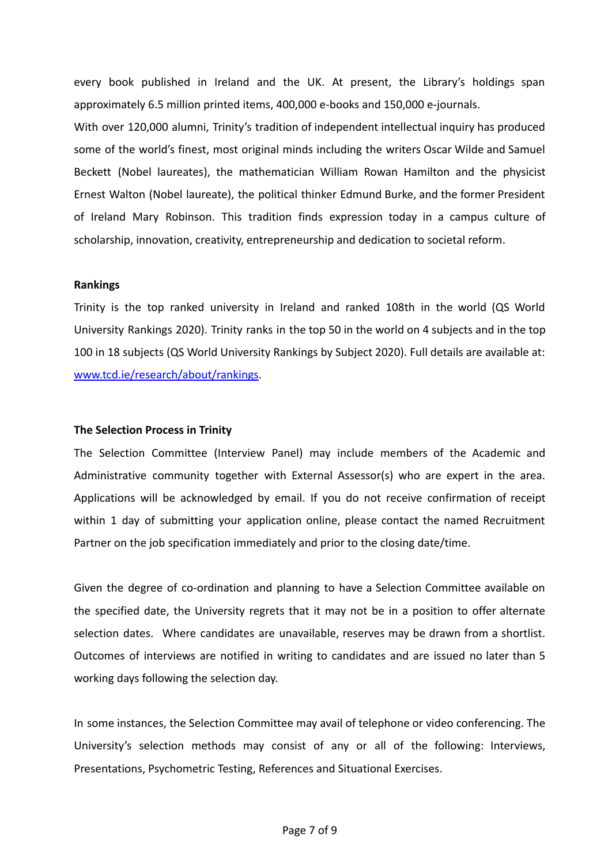every book published in Ireland and the UK. At present, the Library's holdings span approximately 6.5 million printed items, 400,000 e-books and 150,000 e-journals.

With over 120,000 alumni, Trinity's tradition of independent intellectual inquiry has produced some of the world's finest, most original minds including the writers Oscar Wilde and Samuel Beckett (Nobel laureates), the mathematician William Rowan Hamilton and the physicist Ernest Walton (Nobel laureate), the political thinker Edmund Burke, and the former President of Ireland Mary Robinson. This tradition finds expression today in a campus culture of scholarship, innovation, creativity, entrepreneurship and dedication to societal reform.

# **Rankings**

Trinity is the top ranked university in Ireland and ranked 108th in the world (QS World University Rankings 2020). Trinity ranks in the top 50 in the world on 4 subjects and in the top 100 in 18 subjects (QS World University Rankings by Subject 2020). Full details are available at: [www.tcd.ie/research/about/rankings.](http://www.tcd.ie/research/about/rankings)

#### **The Selection Process in Trinity**

The Selection Committee (Interview Panel) may include members of the Academic and Administrative community together with External Assessor(s) who are expert in the area. Applications will be acknowledged by email. If you do not receive confirmation of receipt within 1 day of submitting your application online, please contact the named Recruitment Partner on the job specification immediately and prior to the closing date/time.

Given the degree of co-ordination and planning to have a Selection Committee available on the specified date, the University regrets that it may not be in a position to offer alternate selection dates. Where candidates are unavailable, reserves may be drawn from a shortlist. Outcomes of interviews are notified in writing to candidates and are issued no later than 5 working days following the selection day.

In some instances, the Selection Committee may avail of telephone or video conferencing. The University's selection methods may consist of any or all of the following: Interviews, Presentations, Psychometric Testing, References and Situational Exercises.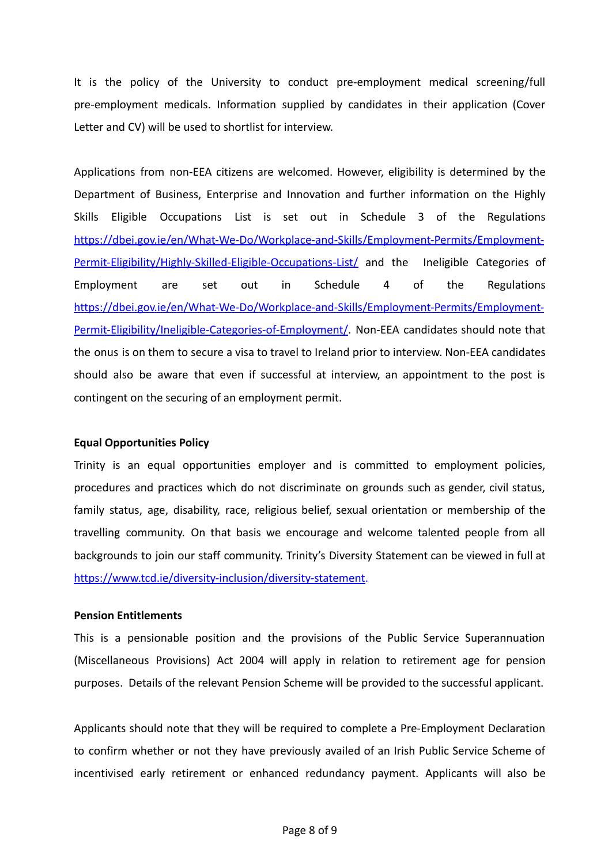It is the policy of the University to conduct pre-employment medical screening/full pre-employment medicals. Information supplied by candidates in their application (Cover Letter and CV) will be used to shortlist for interview.

Applications from non-EEA citizens are welcomed. However, eligibility is determined by the Department of Business, Enterprise and Innovation and further information on the Highly Skills Eligible Occupations List is set out in Schedule 3 of the Regulations [https://dbei.gov.ie/en/What-We-Do/Workplace-and-Skills/Employment-Permits/Employment-](https://dbei.gov.ie/en/What-We-Do/Workplace-and-Skills/Employment-Permits/Employment-Permit-Eligibility/Highly-Skilled-Eligible-Occupations-List/)[Permit-Eligibility/Highly-Skilled-Eligible-Occupations-List/](https://dbei.gov.ie/en/What-We-Do/Workplace-and-Skills/Employment-Permits/Employment-Permit-Eligibility/Highly-Skilled-Eligible-Occupations-List/) and the Ineligible Categories of Employment are set out in Schedule 4 of the Regulations [https://dbei.gov.ie/en/What-We-Do/Workplace-and-Skills/Employment-Permits/Employment-](https://dbei.gov.ie/en/What-We-Do/Workplace-and-Skills/Employment-Permits/Employment-Permit-Eligibility/Ineligible-Categories-of-Employment/)[Permit-Eligibility/Ineligible-Categories-of-Employment/](https://dbei.gov.ie/en/What-We-Do/Workplace-and-Skills/Employment-Permits/Employment-Permit-Eligibility/Ineligible-Categories-of-Employment/). Non-EEA candidates should note that the onus is on them to secure a visa to travel to Ireland prior to interview. Non-EEA candidates should also be aware that even if successful at interview, an appointment to the post is contingent on the securing of an employment permit.

# **Equal Opportunities Policy**

Trinity is an equal opportunities employer and is committed to employment policies, procedures and practices which do not discriminate on grounds such as gender, civil status, family status, age, disability, race, religious belief, sexual orientation or membership of the travelling community. On that basis we encourage and welcome talented people from all backgrounds to join our staff community. Trinity's Diversity Statement can be viewed in full at [https://www.tcd.ie/diversity-inclusion/diversity-statement.](https://www.tcd.ie/diversity-inclusion/diversity-statement)

# **Pension Entitlements**

This is a pensionable position and the provisions of the Public Service Superannuation (Miscellaneous Provisions) Act 2004 will apply in relation to retirement age for pension purposes. Details of the relevant Pension Scheme will be provided to the successful applicant.

Applicants should note that they will be required to complete a Pre-Employment Declaration to confirm whether or not they have previously availed of an Irish Public Service Scheme of incentivised early retirement or enhanced redundancy payment. Applicants will also be